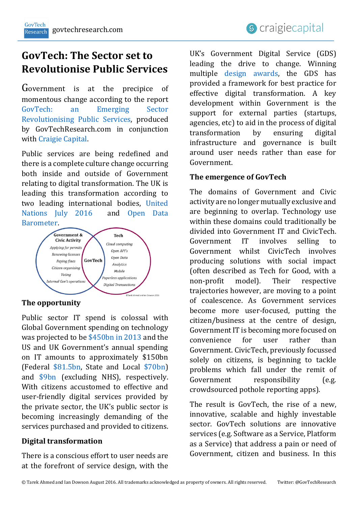# **GovTech: The Sector set to Revolutionise Public Services**

Government is at the precipice of momentous change according to the report GovTech: [an Emerging Sector](http://www.govtechresearch.com/)  [Revolutionising Public](http://www.govtechresearch.com/) Services, produced by GovTechResearch.com in conjunction with [Craigie Capital.](http://www.craigiecapital.com/)

Public services are being redefined and there is a complete culture change occurring both inside and outside of Government relating to digital transformation. The UK is leading this transformation according to two leading international bodies, [United](https://publicadministration.un.org/egovkb/en-us/Reports/UN-E-Government-Survey-2016)  [Nations July 2016](https://publicadministration.un.org/egovkb/en-us/Reports/UN-E-Government-Survey-2016) and [Open Data](http://opendatabarometer.org/)  [Barometer.](http://opendatabarometer.org/)



# **The opportunity**

Public sector IT spend is colossal with Global Government spending on technology was projected to be [\\$450bn in 2013](http://www.gartner.com/newsroom/id/2518815) and the US and UK Government's annual spending on IT amounts to approximately \$150bn (Federal [\\$81.5bn,](https://www.itdashboard.gov/drupal/summary/000) State and Local [\\$70bn\)](http://www.comproinc.com/wp-content/uploads/2015/06/CPI_Market-Insight_State-and-Local-Government-IT.pdf) and [\\$9bn](https://www.nao.org.uk/wp-content/uploads/2013/03/ICT-savings-Full-report.pdf) (excluding NHS), respectively. With citizens accustomed to effective and user-friendly digital services provided by the private sector, the UK's public sector is becoming increasingly demanding of the services purchased and provided to citizens.

# **Digital transformation**

There is a conscious effort to user needs are at the forefront of service design, with the

UK's Government Digital Service (GDS) leading the drive to change. Winning multiple [design awards,](https://www.gov.uk/government/news/govuk-wins-design-of-the-year-2013) the GDS has provided a framework for best practice for effective digital transformation. A key development within Government is the support for external parties (startups, agencies, etc) to aid in the process of digital transformation by ensuring digital infrastructure and governance is built around user needs rather than ease for Government.

# **The emergence of GovTech**

The domains of Government and Civic activity are no longer mutually exclusive and are beginning to overlap. Technology use within these domains could traditionally be divided into Government IT and CivicTech. Government IT involves selling to Government whilst CivicTech involves producing solutions with social impact (often described as Tech for Good, with a non-profit model). Their respective trajectories however, are moving to a point of coalescence. As Government services become more user-focused, putting the citizen/business at the centre of design, Government IT is becoming more focused on convenience for user rather than Government. CivicTech, previously focussed solely on citizens, is beginning to tackle problems which fall under the remit of Government responsibility (e.g. crowdsourced pothole reporting apps).

The result is GovTech, the rise of a new, innovative, scalable and highly investable sector. GovTech solutions are innovative services (e.g. Software as a Service, Platform as a Service) that address a pain or need of Government, citizen and business. In this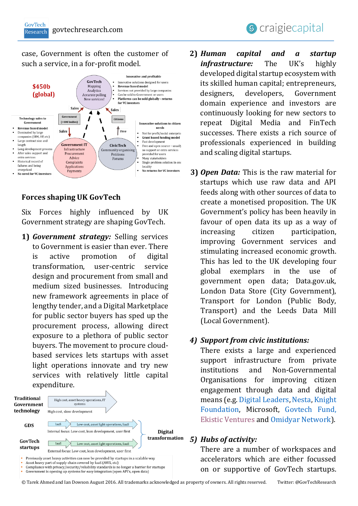case, Government is often the customer of such a service, in a for-profit model.



# **Forces shaping UK GovTech**

Six Forces highly influenced by UK Government strategy are shaping GovTech.

**1)** *Government strategy:* Selling services to Government is easier than ever. There is active promotion of digital transformation, user-centric service design and procurement from small and medium sized businesses. Introducing new framework agreements in place of lengthy tender, and a Digital Marketplace for public sector buyers has sped up the procurement process, allowing direct exposure to a plethora of public sector buyers. The movement to procure cloudbased services lets startups with asset light operations innovate and try new services with relatively little capital expenditure.



Asset heavy part of supply chain covered by laaS (AWS, etc)<br>Compliance with privacy/security/reliability standards is no longer a barrier for startups

Government is opening up systems for easy integration (open API's, open data)

- **2)** *Human capital and a startup infrastructure:* The UK's highly developed digital startup ecosystem with its skilled human capital; entrepreneurs, designers, developers, Government domain experience and investors are continuously looking for new sectors to repeat Digital Media and FinTech successes. There exists a rich source of professionals experienced in building and scaling digital startups.
- **3)** *Open Data:* This is the raw material for startups which use raw data and API feeds along with other sources of data to create a monetised proposition. The UK Government's policy has been heavily in favour of open data its up as a way of increasing citizen participation, improving Government services and stimulating increased economic growth. This has led to the UK developing four global exemplars in the use of government open data; Data.gov.uk, London Data Store (City Government), Transport for London (Public Body, Transport) and the Leeds Data Mill (Local Government).

#### *4) Support from civic institutions:*

There exists a large and experienced support infrastructure from private institutions and Non-Governmental Organisations for improving citizen engagement through data and digital means (e.g[. Digital Leaders,](http://digileaders.com/) [Nesta,](http://www.nesta.org.uk/) [Knight](http://www.knightfoundation.org/)  [Foundation,](http://www.knightfoundation.org/) Microsoft, [Govtech Fund,](file:///C:/Users/Tarek/OneDrive/Documents/Other%20work%20related/CC/Latest/Govtech/Report/Final/09%20Sep%20Final%20Publication%20version/govtechfund.com) [Ekistic Ventures](http://www.ekistic.com/) and [Omidyar Network\)](https://www.omidyar.com/).

#### *5) Hubs of activity:*

There are a number of workspaces and accelerators which are either focussed on or supportive of GovTech startups.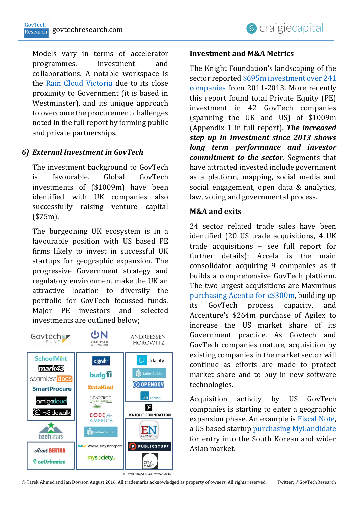Models vary in terms of accelerator programmes, investment and collaborations. A notable workspace is the [Rain Cloud Victoria](https://therainclouds.com/2016/06/13/victoria/) due to its close proximity to Government (it is based in Westminster), and its unique approach to overcome the procurement challenges noted in the full report by forming public and private partnerships.

# *6) External Investment in GovTech*

The investment background to GovTech is favourable. Global GovTech investments of (\$1009m) have been identified with UK companies also successfully raising venture capital (\$75m).

The burgeoning UK ecosystem is in a favourable position with US based PE firms likely to invest in successful UK startups for geographic expansion. The progressive Government strategy and regulatory environment make the UK an attractive location to diversify the portfolio for GovTech focussed funds. Major PE investors and selected investments are outlined below;



## **Investment and M&A Metrics**

The Knight Foundation's landscaping of the sector reported \$695m investment over 241 [companies](http://www.knightfoundation.org/features/civictech/) from 2011-2013. More recently this report found total Private Equity (PE) investment in 42 GovTech companies (spanning the UK and US) of \$1009m (Appendix 1 in full report). *The increased step up in investment since 2013 shows long term performance and investor commitment to the sector*. Segments that have attracted invested include government as a platform, mapping, social media and social engagement, open data & analytics, law, voting and governmental process.

# **M&A and exits**

24 sector related trade sales have been identified (20 US trade acquisitions, 4 UK trade acquisitions – see full report for further details); Accela is the main consolidator acquiring 9 companies as it builds a comprehensive GovTech platform. The two largest acquisitions are Maxminus [purchasing Acentia for c\\$300m,](http://investor.maximus.com/press-release/acquisitions/maximus-signs-definitive-agreement-acquire-acentia-300-million-cash) building up its GovTech process capacity, and Accenture's \$264m purchase of Agilex to increase the US market share of its Government practice. As Govtech and GovTech companies mature, acquisition by existing companies in the market sector will continue as efforts are made to protect market share and to buy in new software technologies.

Acquisition activity by US GovTech companies is starting to enter a geographic expansion phase. An example is [Fiscal Note,](https://www.google.co.uk/url?sa=t&rct=j&q=&esrc=s&source=web&cd=1&cad=rja&uact=8&ved=0ahUKEwjFjq2hsp_OAhXJAsAKHSJzCUwQFggeMAA&url=https%3Awww.fiscalnote.com) a US based startup [purchasing MyCandidate](http://siliconangle.com/blog/2015/09/10/fiscalnote-takes-its-policy-prediction-platform-global-with-first-acquisition/) for entry into the South Korean and wider Asian market.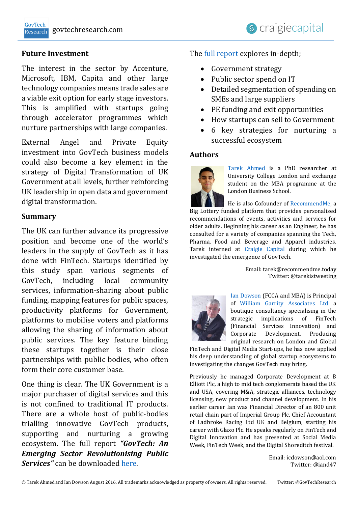#### **Future Investment**

The interest in the sector by Accenture, Microsoft, IBM, Capita and other large technology companies means trade sales are a viable exit option for early stage investors. This is amplified with startups going through accelerator programmes which nurture partnerships with large companies.

External Angel and Private Equity investment into GovTech business models could also become a key element in the strategy of Digital Transformation of UK Government at all levels, further reinforcing UK leadership in open data and government digital transformation.

#### **Summary**

The UK can further advance its progressive position and become one of the world's leaders in the supply of GovTech as it has done with FinTech. Startups identified by this study span various segments of GovTech, including local community services, information-sharing about public funding, mapping features for public spaces, productivity platforms for Government, platforms to mobilise voters and platforms allowing the sharing of information about public services. The key feature binding these startups together is their close partnerships with public bodies, who often form their core customer base.

One thing is clear. The UK Government is a major purchaser of digital services and this is not confined to traditional IT products. There are a whole host of public-bodies trialling innovative GovTech products, supporting and nurturing a growing ecosystem. The full report *"GovTech: An Emerging Sector Revolutionising Public Services"* can be downloaded [here.](http://www.govtechresearch.com/)

## The [full report](http://www.govtechresearch.com/) explores in-depth;

- Government strategy
- Public sector spend on IT
- Detailed segmentation of spending on SMEs and large suppliers
- PE funding and exit opportunities
- How startups can sell to Government
- 6 key strategies for nurturing a successful ecosystem

#### **Authors**



[Tarek Ahmed](https://uk.linkedin.com/in/tarekahmedphd) is a PhD researcher at University College London and exchange student on the MBA programme at the London Business School.

He is also Cofounder of [RecommendMe,](http://www.recommendme.today/) a Big Lottery funded platform that provides personalised recommendations of events, activities and services for older adults. Beginning his career as an Engineer, he has consulted for a variety of companies spanning the Tech, Pharma, Food and Beverage and Apparel industries. Tarek interned at [Craigie Capital](http://craigiecapital.com/) during which he investigated the emergence of GovTech.

> Email: tarek@recommendme.today Twitter: @tarekistweeting



[Ian Dowson](https://uk.linkedin.com/in/iandowsonwilliamgaritty) (FCCA and MBA) is Principal of [William Garrity Associates Ltd](http://icdowson.wix.com/williamgarrity) a boutique consultancy specialising in the strategic implications of FinTech (Financial Services Innovation) and Corporate Development. Producing original research on London and Global

FinTech and Digital Media Start-ups, he has now applied his deep understanding of global startup ecosystems to investigating the changes GovTech may bring.

Previously he managed Corporate Development at B Elliott Plc, a high to mid tech conglomerate based the UK and USA, covering M&A, strategic alliances, technology licensing, new product and channel development. In his earlier career Ian was Financial Director of an 800 unit retail chain part of Imperial Group Plc, Chief Accountant of Ladbroke Racing Ltd UK and Belgium, starting his career with Glaxo Plc. He speaks regularly on FinTech and Digital Innovation and has presented at Social Media Week, FinTech Week, and the Digital Shoreditch festival.

> Email: icdowson@aol.com Twitter: @iand47